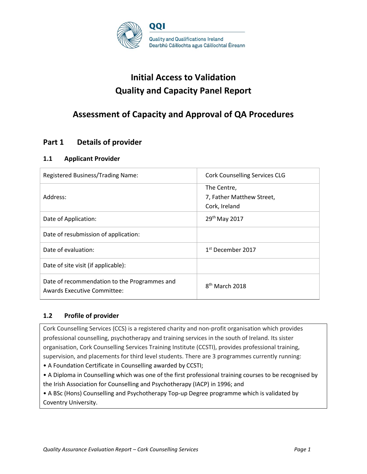

# **Initial Access to Validation Quality and Capacity Panel Report**

# **Assessment of Capacity and Approval of QA Procedures**

# **Part 1 Details of provider**

### **1.1 Applicant Provider**

| Registered Business/Trading Name:                                                  | <b>Cork Counselling Services CLG</b>                      |
|------------------------------------------------------------------------------------|-----------------------------------------------------------|
| Address:                                                                           | The Centre,<br>7, Father Matthew Street,<br>Cork, Ireland |
| Date of Application:                                                               | 29th May 2017                                             |
| Date of resubmission of application:                                               |                                                           |
| Date of evaluation:                                                                | 1 <sup>st</sup> December 2017                             |
| Date of site visit (if applicable):                                                |                                                           |
| Date of recommendation to the Programmes and<br><b>Awards Executive Committee:</b> | $8th$ March 2018                                          |

### **1.2 Profile of provider**

Cork Counselling Services (CCS) is a registered charity and non-profit organisation which provides professional counselling, psychotherapy and training services in the south of Ireland. Its sister organisation, Cork Counselling Services Training Institute (CCSTI), provides professional training, supervision, and placements for third level students. There are 3 programmes currently running:

• A Foundation Certificate in Counselling awarded by CCSTI;

• A Diploma in Counselling which was one of the first professional training courses to be recognised by the Irish Association for Counselling and Psychotherapy (IACP) in 1996; and

• A BSc (Hons) Counselling and Psychotherapy Top-up Degree programme which is validated by Coventry University.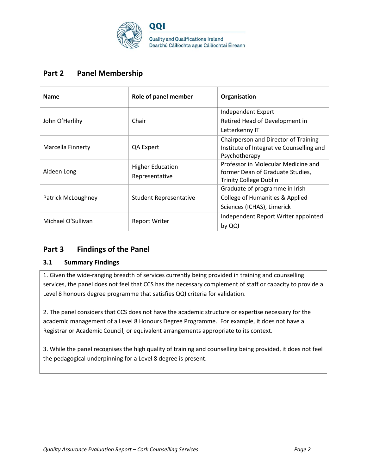

# **Part 2 Panel Membership**

| <b>Name</b>        | Role of panel member                      | Organisation                                                                                             |
|--------------------|-------------------------------------------|----------------------------------------------------------------------------------------------------------|
| John O'Herlihy     | Chair                                     | Independent Expert<br>Retired Head of Development in<br>Letterkenny IT                                   |
| Marcella Finnerty  | QA Expert                                 | Chairperson and Director of Training<br>Institute of Integrative Counselling and<br>Psychotherapy        |
| Aideen Long        | <b>Higher Education</b><br>Representative | Professor in Molecular Medicine and<br>former Dean of Graduate Studies,<br><b>Trinity College Dublin</b> |
| Patrick McLoughney | <b>Student Representative</b>             | Graduate of programme in Irish<br>College of Humanities & Applied<br>Sciences (ICHAS), Limerick          |
| Michael O'Sullivan | Report Writer                             | Independent Report Writer appointed<br>by QQI                                                            |

# **Part 3 Findings of the Panel**

### **3.1 Summary Findings**

1. Given the wide-ranging breadth of services currently being provided in training and counselling services, the panel does not feel that CCS has the necessary complement of staff or capacity to provide a Level 8 honours degree programme that satisfies QQI criteria for validation.

2. The panel considers that CCS does not have the academic structure or expertise necessary for the academic management of a Level 8 Honours Degree Programme. For example, it does not have a Registrar or Academic Council, or equivalent arrangements appropriate to its context.

3. While the panel recognises the high quality of training and counselling being provided, it does not feel the pedagogical underpinning for a Level 8 degree is present.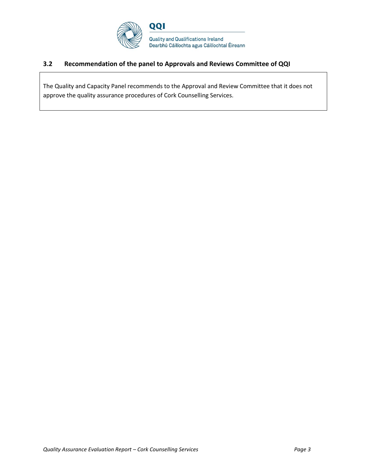

### **3.2 Recommendation of the panel to Approvals and Reviews Committee of QQI**

The Quality and Capacity Panel recommends to the Approval and Review Committee that it does not approve the quality assurance procedures of Cork Counselling Services.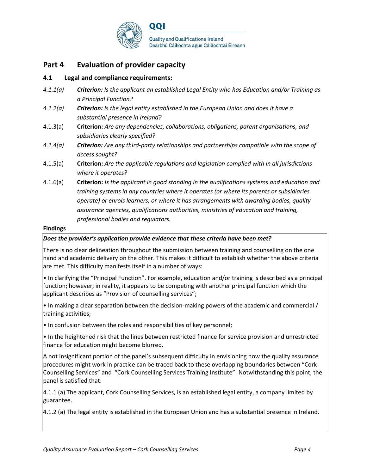

## **Part 4 Evaluation of provider capacity**

### **4.1 Legal and compliance requirements:**

- *4.1.1(a) Criterion: Is the applicant an established Legal Entity who has Education and/or Training as a Principal Function?*
- *4.1.2(a) Criterion: Is the legal entity established in the European Union and does it have a substantial presence in Ireland?*
- 4.1.3(a) **Criterion:** *Are any dependencies, collaborations, obligations, parent organisations, and subsidiaries clearly specified?*
- *4.1.4(a) Criterion: Are any third-party relationships and partnerships compatible with the scope of access sought?*
- 4.1.5(a) **Criterion:** *Are the applicable regulations and legislation complied with in all jurisdictions where it operates?*
- 4.1.6(a) **Criterion:** *Is the applicant in good standing in the qualifications systems and education and training systems in any countries where it operates (or where its parents or subsidiaries operate) or enrols learners, or where it has arrangements with awarding bodies, quality assurance agencies, qualifications authorities, ministries of education and training, professional bodies and regulators.*

#### **Findings**

### *Does the provider's application provide evidence that these criteria have been met?*

There is no clear delineation throughout the submission between training and counselling on the one hand and academic delivery on the other. This makes it difficult to establish whether the above criteria are met. This difficulty manifests itself in a number of ways:

• In clarifying the "Principal Function". For example, education and/or training is described as a principal function; however, in reality, it appears to be competing with another principal function which the applicant describes as "Provision of counselling services";

• In making a clear separation between the decision-making powers of the academic and commercial / training activities;

• In confusion between the roles and responsibilities of key personnel;

• In the heightened risk that the lines between restricted finance for service provision and unrestricted finance for education might become blurred.

A not insignificant portion of the panel's subsequent difficulty in envisioning how the quality assurance procedures might work in practice can be traced back to these overlapping boundaries between "Cork Counselling Services" and "Cork Counselling Services Training Institute". Notwithstanding this point, the panel is satisfied that:

4.1.1 (a) The applicant, Cork Counselling Services, is an established legal entity, a company limited by guarantee.

4.1.2 (a) The legal entity is established in the European Union and has a substantial presence in Ireland.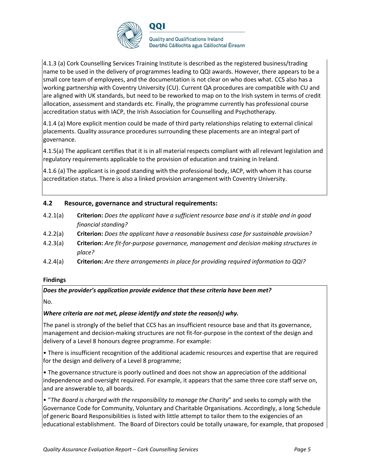

4.1.3 (a) Cork Counselling Services Training Institute is described as the registered business/trading name to be used in the delivery of programmes leading to QQI awards. However, there appears to be a small core team of employees, and the documentation is not clear on who does what. CCS also has a working partnership with Coventry University (CU). Current QA procedures are compatible with CU and are aligned with UK standards, but need to be reworked to map on to the Irish system in terms of credit allocation, assessment and standards etc. Finally, the programme currently has professional course accreditation status with IACP, the Irish Association for Counselling and Psychotherapy.

4.1.4 (a) More explicit mention could be made of third party relationships relating to external clinical placements. Quality assurance procedures surrounding these placements are an integral part of governance.

4.1.5(a) The applicant certifies that it is in all material respects compliant with all relevant legislation and regulatory requirements applicable to the provision of education and training in Ireland.

4.1.6 (a) The applicant is in good standing with the professional body, IACP, with whom it has course accreditation status. There is also a linked provision arrangement with Coventry University.

### **4.2 Resource, governance and structural requirements:**

- 4.2.1(a) **Criterion:** *Does the applicant have a sufficient resource base and is it stable and in good financial standing?*
- 4.2.2(a) **Criterion:** *Does the applicant have a reasonable business case for sustainable provision?*
- 4.2.3(a) **Criterion:** *Are fit-for-purpose governance, management and decision making structures in place?*
- 4.2.4(a) **Criterion:** *Are there arrangements in place for providing required information to QQI?*

#### **Findings**

*Does the provider's application provide evidence that these criteria have been met?*

No.

### *Where criteria are not met, please identify and state the reason(s) why.*

The panel is strongly of the belief that CCS has an insufficient resource base and that its governance, management and decision-making structures are not fit-for-purpose in the context of the design and delivery of a Level 8 honours degree programme. For example:

• There is insufficient recognition of the additional academic resources and expertise that are required for the design and delivery of a Level 8 programme;

• The governance structure is poorly outlined and does not show an appreciation of the additional independence and oversight required. For example, it appears that the same three core staff serve on, and are answerable to, all boards.

• "*The Board is charged with the responsibility to manage the Charity*" and seeks to comply with the Governance Code for Community, Voluntary and Charitable Organisations. Accordingly, a long Schedule of generic Board Responsibilities is listed with little attempt to tailor them to the exigencies of an educational establishment. The Board of Directors could be totally unaware, for example, that proposed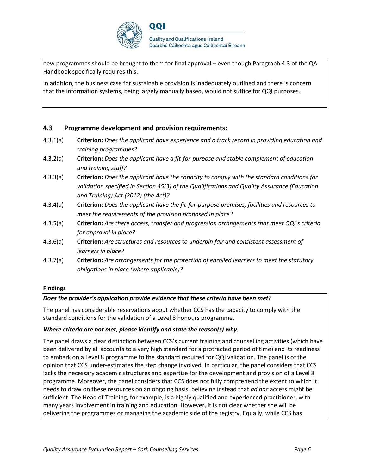

new programmes should be brought to them for final approval – even though Paragraph 4.3 of the QA Handbook specifically requires this.

In addition, the business case for sustainable provision is inadequately outlined and there is concern that the information systems, being largely manually based, would not suffice for QQI purposes.

#### **4.3 Programme development and provision requirements:**

- 4.3.1(a) **Criterion:** *Does the applicant have experience and a track record in providing education and training programmes?*
- 4.3.2(a) **Criterion:** *Does the applicant have a fit-for-purpose and stable complement of education and training staff?*
- 4.3.3(a) **Criterion:** *Does the applicant have the capacity to comply with the standard conditions for validation specified in Section 45(3) of the Qualifications and Quality Assurance (Education and Training) Act (2012) (the Act)?*
- 4.3.4(a) **Criterion:** *Does the applicant have the fit-for-purpose premises, facilities and resources to meet the requirements of the provision proposed in place?*
- 4.3.5(a) **Criterion:** *Are there access, transfer and progression arrangements that meet QQI's criteria for approval in place?*
- 4.3.6(a) **Criterion:** *Are structures and resources to underpin fair and consistent assessment of learners in place?*
- 4.3.7(a) **Criterion:** *Are arrangements for the protection of enrolled learners to meet the statutory obligations in place (where applicable)?*

#### **Findings**

#### *Does the provider's application provide evidence that these criteria have been met?*

The panel has considerable reservations about whether CCS has the capacity to comply with the standard conditions for the validation of a Level 8 honours programme.

#### *Where criteria are not met, please identify and state the reason(s) why.*

The panel draws a clear distinction between CCS's current training and counselling activities (which have been delivered by all accounts to a very high standard for a protracted period of time) and its readiness to embark on a Level 8 programme to the standard required for QQI validation. The panel is of the opinion that CCS under-estimates the step change involved. In particular, the panel considers that CCS lacks the necessary academic structures and expertise for the development and provision of a Level 8 programme. Moreover, the panel considers that CCS does not fully comprehend the extent to which it needs to draw on these resources on an ongoing basis, believing instead that *ad hoc* access might be sufficient. The Head of Training, for example, is a highly qualified and experienced practitioner, with many years involvement in training and education. However, it is not clear whether she will be delivering the programmes or managing the academic side of the registry. Equally, while CCS has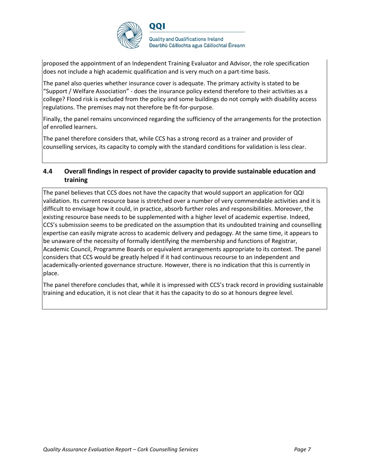

**Quality and Qualifications Ireland** Dearbhú Cáilíochta agus Cáilíochtaí Éireann

proposed the appointment of an Independent Training Evaluator and Advisor, the role specification does not include a high academic qualification and is very much on a part-time basis.

The panel also queries whether insurance cover is adequate. The primary activity is stated to be "Support / Welfare Association" - does the insurance policy extend therefore to their activities as a college? Flood risk is excluded from the policy and some buildings do not comply with disability access regulations. The premises may not therefore be fit-for-purpose.

Finally, the panel remains unconvinced regarding the sufficiency of the arrangements for the protection of enrolled learners.

The panel therefore considers that, while CCS has a strong record as a trainer and provider of counselling services, its capacity to comply with the standard conditions for validation is less clear.

### **4.4 Overall findings in respect of provider capacity to provide sustainable education and training**

The panel believes that CCS does not have the capacity that would support an application for QQI validation. Its current resource base is stretched over a number of very commendable activities and it is difficult to envisage how it could, in practice, absorb further roles and responsibilities. Moreover, the existing resource base needs to be supplemented with a higher level of academic expertise. Indeed, CCS's submission seems to be predicated on the assumption that its undoubted training and counselling expertise can easily migrate across to academic delivery and pedagogy. At the same time, it appears to be unaware of the necessity of formally identifying the membership and functions of Registrar, Academic Council, Programme Boards or equivalent arrangements appropriate to its context. The panel considers that CCS would be greatly helped if it had continuous recourse to an independent and academically-oriented governance structure. However, there is no indication that this is currently in place.

The panel therefore concludes that, while it is impressed with CCS's track record in providing sustainable training and education, it is not clear that it has the capacity to do so at honours degree level.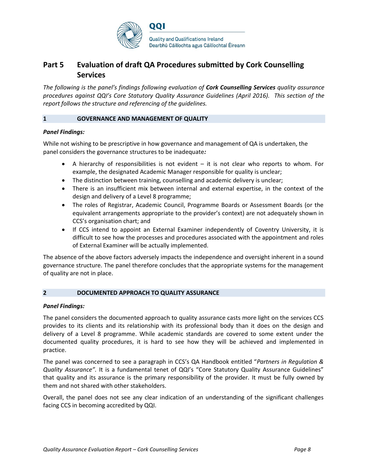

# **Part 5 Evaluation of draft QA Procedures submitted by Cork Counselling Services**

*The following is the panel's findings following evaluation of Cork Counselling Services quality assurance procedures against QQI's Core Statutory Quality Assurance Guidelines (April 2016). This section of the report follows the structure and referencing of the guidelines.* 

#### **1 GOVERNANCE AND MANAGEMENT OF QUALITY**

#### *Panel Findings:*

While not wishing to be prescriptive in how governance and management of QA is undertaken, the panel considers the governance structures to be inadequate*:*

- A hierarchy of responsibilities is not evident  $-$  it is not clear who reports to whom. For example, the designated Academic Manager responsible for quality is unclear;
- The distinction between training, counselling and academic delivery is unclear;
- There is an insufficient mix between internal and external expertise, in the context of the design and delivery of a Level 8 programme;
- The roles of Registrar, Academic Council, Programme Boards or Assessment Boards (or the equivalent arrangements appropriate to the provider's context) are not adequately shown in CCS's organisation chart; and
- If CCS intend to appoint an External Examiner independently of Coventry University, it is difficult to see how the processes and procedures associated with the appointment and roles of External Examiner will be actually implemented.

The absence of the above factors adversely impacts the independence and oversight inherent in a sound governance structure. The panel therefore concludes that the appropriate systems for the management of quality are not in place.

#### **2 DOCUMENTED APPROACH TO QUALITY ASSURANCE**

#### *Panel Findings:*

The panel considers the documented approach to quality assurance casts more light on the services CCS provides to its clients and its relationship with its professional body than it does on the design and delivery of a Level 8 programme. While academic standards are covered to some extent under the documented quality procedures, it is hard to see how they will be achieved and implemented in practice.

The panel was concerned to see a paragraph in CCS's QA Handbook entitled "*Partners in Regulation & Quality Assurance".* It is a fundamental tenet of QQI's "Core Statutory Quality Assurance Guidelines" that quality and its assurance is the primary responsibility of the provider. It must be fully owned by them and not shared with other stakeholders.

Overall, the panel does not see any clear indication of an understanding of the significant challenges facing CCS in becoming accredited by QQI.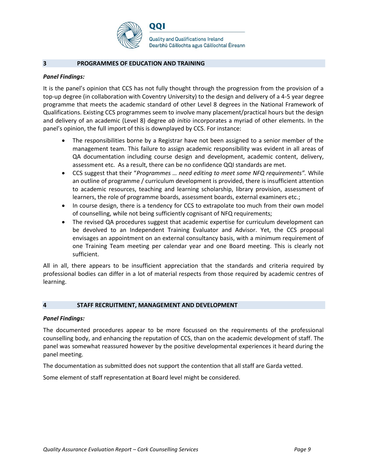

#### **3 PROGRAMMES OF EDUCATION AND TRAINING**

#### *Panel Findings:*

It is the panel's opinion that CCS has not fully thought through the progression from the provision of a top-up degree (in collaboration with Coventry University) to the design and delivery of a 4-5 year degree programme that meets the academic standard of other Level 8 degrees in the National Framework of Qualifications. Existing CCS programmes seem to involve many placement/practical hours but the design and delivery of an academic (Level 8) degree *ab initio* incorporates a myriad of other elements. In the panel's opinion, the full import of this is downplayed by CCS. For instance:

- The responsibilities borne by a Registrar have not been assigned to a senior member of the management team. This failure to assign academic responsibility was evident in all areas of QA documentation including course design and development, academic content, delivery, assessment etc. As a result, there can be no confidence QQI standards are met.
- CCS suggest that their "*Programmes … need editing to meet some NFQ requirements".* While an outline of programme / curriculum development is provided, there is insufficient attention to academic resources, teaching and learning scholarship, library provision, assessment of learners, the role of programme boards, assessment boards, external examiners etc.;
- In course design, there is a tendency for CCS to extrapolate too much from their own model of counselling, while not being sufficiently cognisant of NFQ requirements;
- The revised QA procedures suggest that academic expertise for curriculum development can be devolved to an Independent Training Evaluator and Advisor. Yet, the CCS proposal envisages an appointment on an external consultancy basis, with a minimum requirement of one Training Team meeting per calendar year and one Board meeting. This is clearly not sufficient.

All in all, there appears to be insufficient appreciation that the standards and criteria required by professional bodies can differ in a lot of material respects from those required by academic centres of learning.

#### **4 STAFF RECRUITMENT, MANAGEMENT AND DEVELOPMENT**

#### *Panel Findings:*

The documented procedures appear to be more focussed on the requirements of the professional counselling body, and enhancing the reputation of CCS, than on the academic development of staff. The panel was somewhat reassured however by the positive developmental experiences it heard during the panel meeting.

The documentation as submitted does not support the contention that all staff are Garda vetted.

Some element of staff representation at Board level might be considered.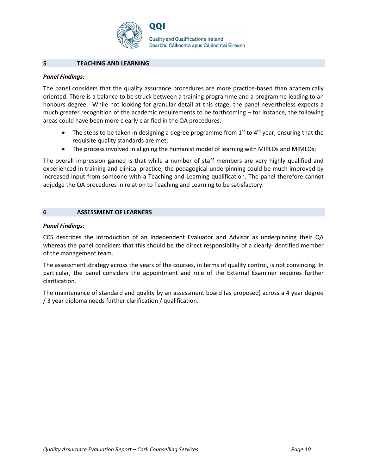

001

#### **5 TEACHING AND LEARNING**

#### *Panel Findings:*

The panel considers that the quality assurance procedures are more practice-based than academically oriented. There is a balance to be struck between a training programme and a programme leading to an honours degree. While not looking for granular detail at this stage, the panel nevertheless expects a much greater recognition of the academic requirements to be forthcoming – for instance, the following areas could have been more clearly clarified in the QA procedures:

- The steps to be taken in designing a degree programme from  $1^{st}$  to  $4^{th}$  year, ensuring that the requisite quality standards are met;
- The process involved in aligning the humanist model of learning with MIPLOs and MIMLOs;

The overall impression gained is that while a number of staff members are very highly qualified and experienced in training and clinical practice, the pedagogical underpinning could be much improved by increased input from someone with a Teaching and Learning qualification. The panel therefore cannot adjudge the QA procedures in relation to Teaching and Learning to be satisfactory.

#### **6 ASSESSMENT OF LEARNERS**

#### *Panel Findings:*

CCS describes the introduction of an Independent Evaluator and Advisor as underpinning their QA whereas the panel considers that this should be the direct responsibility of a clearly-identified member of the management team.

The assessment strategy across the years of the courses, in terms of quality control, is not convincing. In particular, the panel considers the appointment and role of the External Examiner requires further clarification.

The maintenance of standard and quality by an assessment board (as proposed) across a 4 year degree / 3 year diploma needs further clarification / qualification.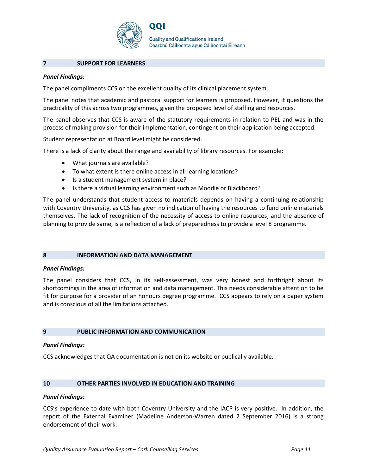

**Quality and Qualifications Ireland** Dearbhú Cáilíochta agus Cáilíochtaí Éireann

#### **7 SUPPORT FOR LEARNERS**

#### *Panel Findings:*

The panel compliments CCS on the excellent quality of its clinical placement system.

001

The panel notes that academic and pastoral support for learners is proposed. However, it questions the practicality of this across two programmes, given the proposed level of staffing and resources.

The panel observes that CCS is aware of the statutory requirements in relation to PEL and was in the process of making provision for their implementation, contingent on their application being accepted.

Student representation at Board level might be considered.

There is a lack of clarity about the range and availability of library resources. For example:

- What journals are available?
- To what extent is there online access in all learning locations?
- Is a student management system in place?
- Is there a virtual learning environment such as Moodle or Blackboard?

The panel understands that student access to materials depends on having a continuing relationship with Coventry University, as CCS has given no indication of having the resources to fund online materials themselves. The lack of recognition of the necessity of access to online resources, and the absence of planning to provide same, is a reflection of a lack of preparedness to provide a level 8 programme.

#### **8 INFORMATION AND DATA MANAGEMENT**

#### *Panel Findings:*

The panel considers that CCS, in its self-assessment, was very honest and forthright about its shortcomings in the area of information and data management. This needs considerable attention to be fit for purpose for a provider of an honours degree programme. CCS appears to rely on a paper system and is conscious of all the limitations attached.

#### **9 PUBLIC INFORMATION AND COMMUNICATION**

#### *Panel Findings:*

CCS acknowledges that QA documentation is not on its website or publically available.

#### **10 OTHER PARTIES INVOLVED IN EDUCATION AND TRAINING**

#### *Panel Findings:*

CCS's experience to date with both Coventry University and the IACP is very positive. In addition, the report of the External Examiner (Madeline Anderson-Warren dated 2 September 2016) is a strong endorsement of their work.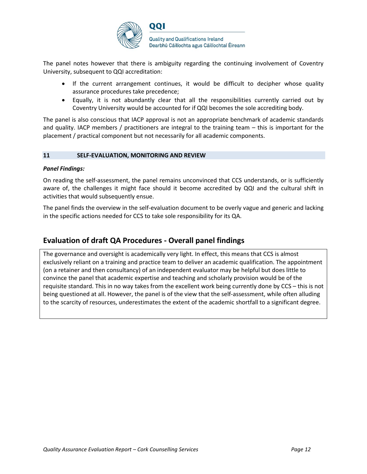

The panel notes however that there is ambiguity regarding the continuing involvement of Coventry University, subsequent to QQI accreditation:

- If the current arrangement continues, it would be difficult to decipher whose quality assurance procedures take precedence;
- Equally, it is not abundantly clear that all the responsibilities currently carried out by Coventry University would be accounted for if QQI becomes the sole accrediting body.

The panel is also conscious that IACP approval is not an appropriate benchmark of academic standards and quality. IACP members / practitioners are integral to the training team – this is important for the placement / practical component but not necessarily for all academic components.

#### **11 SELF-EVALUATION, MONITORING AND REVIEW**

#### *Panel Findings:*

On reading the self-assessment, the panel remains unconvinced that CCS understands, or is sufficiently aware of, the challenges it might face should it become accredited by QQI and the cultural shift in activities that would subsequently ensue.

The panel finds the overview in the self-evaluation document to be overly vague and generic and lacking in the specific actions needed for CCS to take sole responsibility for its QA.

### **Evaluation of draft QA Procedures - Overall panel findings**

The governance and oversight is academically very light. In effect, this means that CCS is almost exclusively reliant on a training and practice team to deliver an academic qualification. The appointment (on a retainer and then consultancy) of an independent evaluator may be helpful but does little to convince the panel that academic expertise and teaching and scholarly provision would be of the requisite standard. This in no way takes from the excellent work being currently done by CCS – this is not being questioned at all. However, the panel is of the view that the self-assessment, while often alluding to the scarcity of resources, underestimates the extent of the academic shortfall to a significant degree.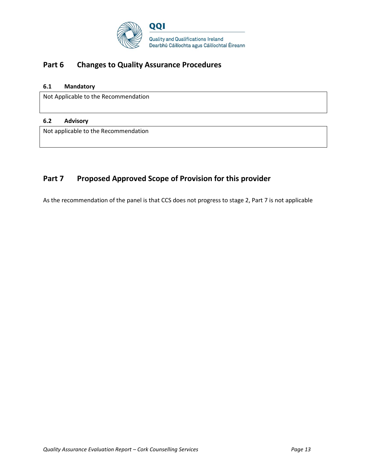

# **Part 6 Changes to Quality Assurance Procedures**

### **6.1 Mandatory**

Not Applicable to the Recommendation

#### **6.2 Advisory**

Not applicable to the Recommendation

# Part 7 Proposed Approved Scope of Provision for this provider

As the recommendation of the panel is that CCS does not progress to stage 2, Part 7 is not applicable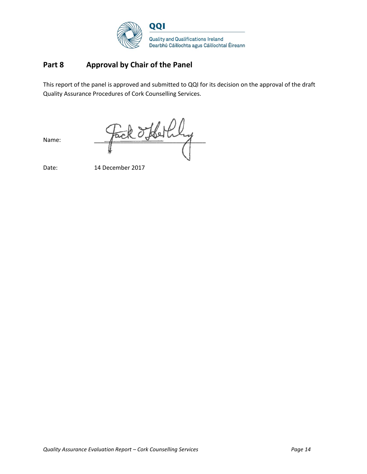

# **Part 8 Approval by Chair of the Panel**

This report of the panel is approved and submitted to QQI for its decision on the approval of the draft Quality Assurance Procedures of Cork Counselling Services.

Name: Fack d'Hethy

Date: 14 December 2017